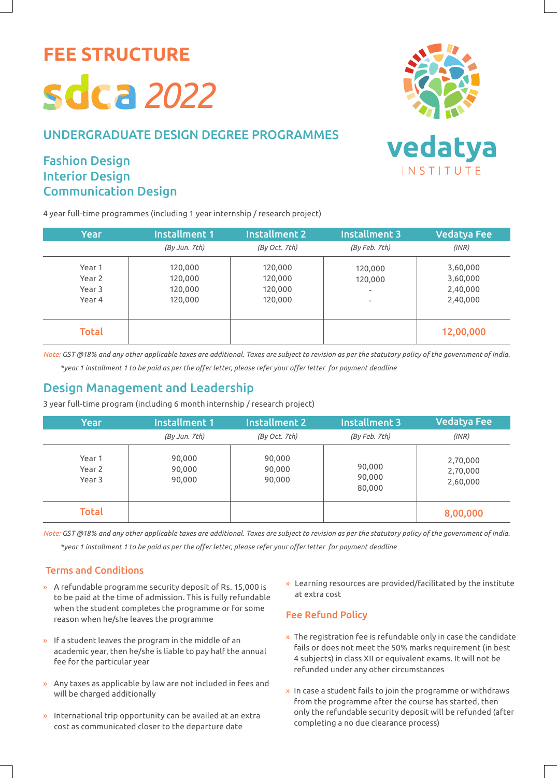**FEE STRUCTURE**

# *2022*

### UNDERGRADUATE DESIGN DEGREE PROGRAMMES

# Fashion Design Interior Design Communication Design

4 year full-time programmes (including 1 year internship / research project)



| <b>Year</b>  | Installment 1 | <b>Installment 2</b> | <b>Installment 3</b>     | <b>Vedatya Fee</b> |
|--------------|---------------|----------------------|--------------------------|--------------------|
|              | (By Jun. 7th) | (By Oct. 7th)        | (By Feb. 7th)            | (INR)              |
| Year 1       | 120,000       | 120,000              | 120,000                  | 3,60,000           |
| Year 2       | 120,000       | 120,000              | 120,000                  | 3,60,000           |
| Year 3       | 120,000       | 120,000              | ٠                        | 2,40,000           |
| Year 4       | 120,000       | 120,000              | $\overline{\phantom{0}}$ | 2,40,000           |
|              |               |                      |                          |                    |
| <b>Total</b> |               |                      |                          | 12,00,000          |

*Note: GST @18% and any other applicable taxes are additional. Taxes are subject to revision as per the statutory policy of the government of India. \*year 1 installment 1 to be paid as per the offer letter, please refer your offer letter for payment deadline*

## Design Management and Leadership

3 year full-time program (including 6 month internship / research project)

| Year                       | Installment 1              | <b>Installment 2</b>       | Installment 3              | <b>Vedatya Fee</b>               |
|----------------------------|----------------------------|----------------------------|----------------------------|----------------------------------|
|                            | (By Jun. 7th)              | (By Oct. 7th)              | (By Feb. 7th)              | (INR)                            |
| Year 1<br>Year 2<br>Year 3 | 90,000<br>90,000<br>90,000 | 90,000<br>90,000<br>90,000 | 90,000<br>90,000<br>80,000 | 2,70,000<br>2,70,000<br>2,60,000 |
| <b>Total</b>               |                            |                            |                            | 8,00,000                         |

*Note: GST @18% and any other applicable taxes are additional. Taxes are subject to revision as per the statutory policy of the government of India. \*year 1 installment 1 to be paid as per the offer letter, please refer your offer letter for payment deadline*

#### Terms and Conditions

- » A refundable programme security deposit of Rs. 15,000 is to be paid at the time of admission. This is fully refundable when the student completes the programme or for some reason when he/she leaves the programme
- » If a student leaves the program in the middle of an academic year, then he/she is liable to pay half the annual fee for the particular year
- » Any taxes as applicable by law are not included in fees and will be charged additionally
- » International trip opportunity can be availed at an extra cost as communicated closer to the departure date

» Learning resources are provided/facilitated by the institute at extra cost

#### Fee Refund Policy

- » The registration fee is refundable only in case the candidate fails or does not meet the 50% marks requirement (in best 4 subjects) in class XII or equivalent exams. It will not be refunded under any other circumstances
- » In case a student fails to join the programme or withdraws from the programme after the course has started, then only the refundable security deposit will be refunded (after completing a no due clearance process)